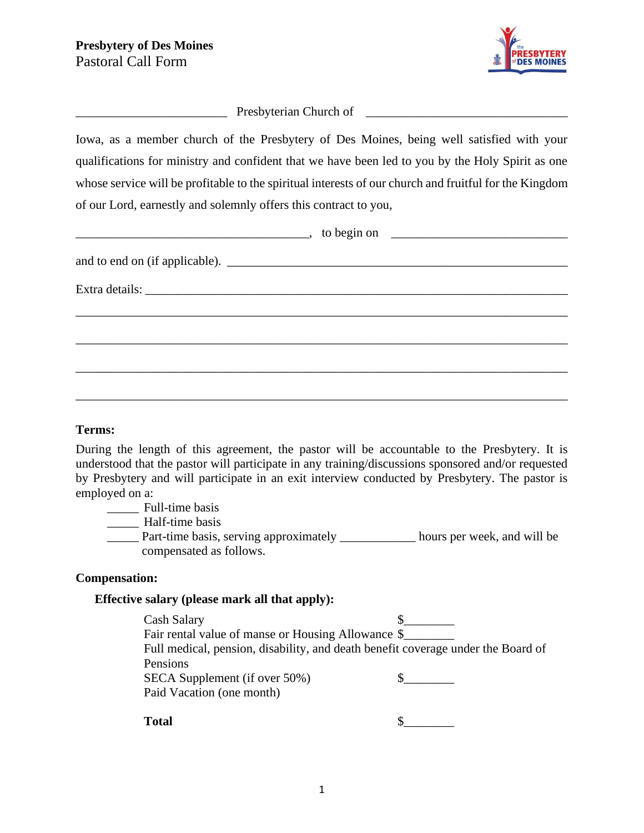

#### Presbyterian Church of

Iowa, as a member church of the Presbytery of Des Moines, being well satisfied with your qualifications for ministry and confident that we have been led to you by the Holy Spirit as one whose service will be profitable to the spiritual interests of our church and fruitful for the Kingdom of our Lord, earnestly and solemnly offers this contract to you,

| $\sim$ to begin on $\sim$ |  |
|---------------------------|--|
|                           |  |
|                           |  |
|                           |  |
|                           |  |
|                           |  |
|                           |  |
|                           |  |

#### **Terms:**

During the length of this agreement, the pastor will be accountable to the Presbytery. It is understood that the pastor will participate in any training/discussions sponsored and/or requested by Presbytery and will participate in an exit interview conducted by Presbytery. The pastor is employed on a:

\_\_\_\_\_ Full-time basis

\_\_\_\_\_ Half-time basis

\_\_\_\_\_ Part-time basis, serving approximately \_\_\_\_\_\_\_\_\_\_\_\_ hours per week, and will be compensated as follows.

### **Compensation:**

### **Effective salary (please mark all that apply):**

| Cash Salary                                                                      |  |
|----------------------------------------------------------------------------------|--|
| Fair rental value of manse or Housing Allowance \$                               |  |
| Full medical, pension, disability, and death benefit coverage under the Board of |  |
| Pensions                                                                         |  |
| SECA Supplement (if over 50%)                                                    |  |
| Paid Vacation (one month)                                                        |  |
|                                                                                  |  |

**Total** \$\_\_\_\_\_\_\_\_